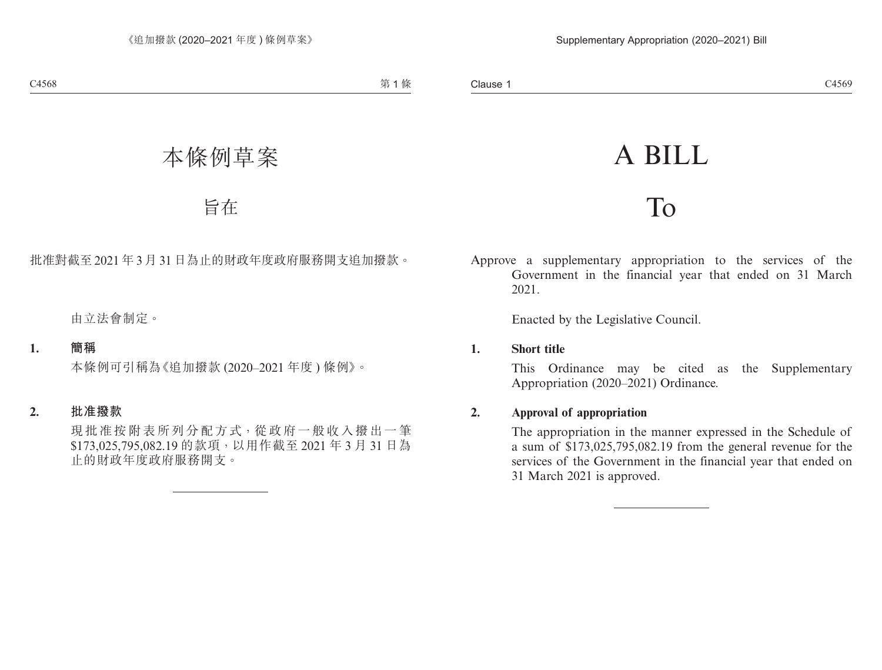# A BILL

## To

Approve a supplementary appropriation to the services of the Government in the financial year that ended on 31 March 2021.

Enacted by the Legislative Council.

#### **1. Short title**

This Ordinance may be cited as the Supplementary Appropriation (2020–2021) Ordinance.

#### **2. Approval of appropriation**

The appropriation in the manner expressed in the Schedule of a sum of \$173,025,795,082.19 from the general revenue for the services of the Government in the financial year that ended on 31 March 2021 is approved.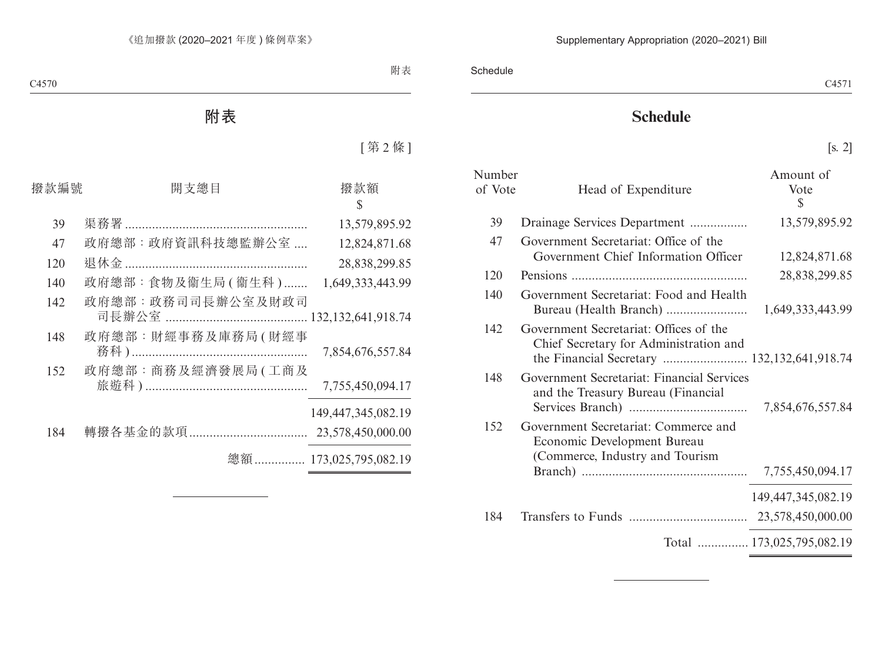### **Schedule**

[s. 2]

| Number<br>of Vote | Head of Expenditure                                                                                    | Amount of<br>Vote<br>\$   |
|-------------------|--------------------------------------------------------------------------------------------------------|---------------------------|
| 39                | Drainage Services Department                                                                           | 13,579,895.92             |
| 47                | Government Secretariat: Office of the<br>Government Chief Information Officer                          | 12,824,871.68             |
| 120               |                                                                                                        | 28,838,299.85             |
| 140               | Government Secretariat: Food and Health                                                                | 1,649,333,443.99          |
| 142               | Government Secretariat: Offices of the<br>Chief Secretary for Administration and                       |                           |
| 148               | Government Secretariat: Financial Services<br>and the Treasury Bureau (Financial                       |                           |
| 152               | Government Secretariat: Commerce and<br>Economic Development Bureau<br>(Commerce, Industry and Tourism | 7,755,450,094.17          |
|                   |                                                                                                        | 149, 447, 345, 082. 19    |
| 184               |                                                                                                        |                           |
|                   |                                                                                                        | Total  173,025,795,082.19 |
|                   |                                                                                                        |                           |